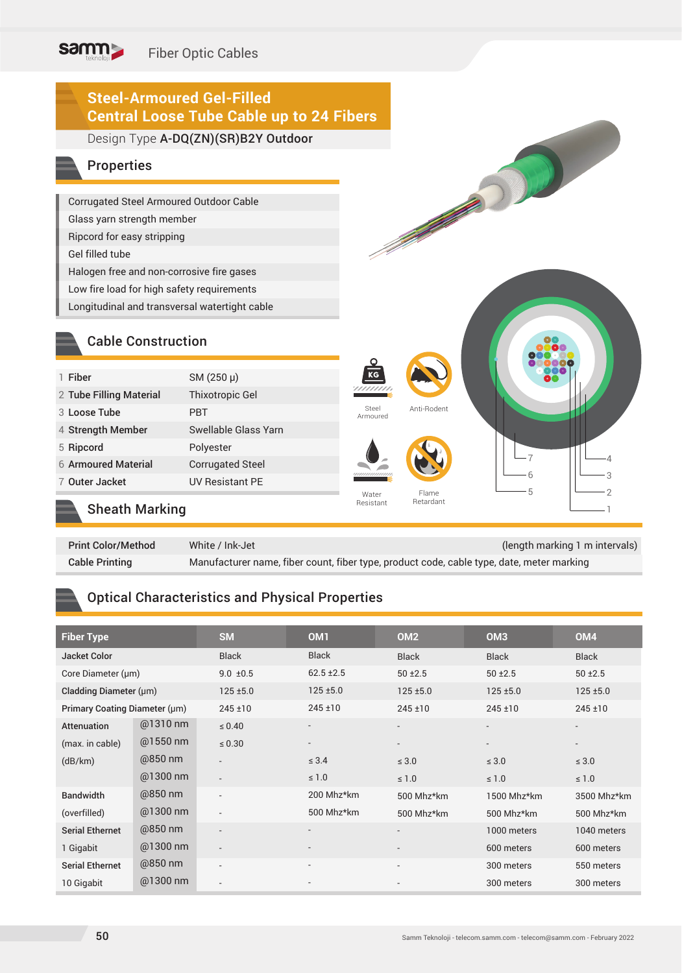# Fiber Optic Cables

# **Steel-Armoured Gel-Filled Central Loose Tube Cable up to 24 Fibers**

#### Design Type A-DQ(ZN)(SR)B2Y Outdoor

#### Properties

samm

Corrugated Steel Armoured Outdoor Cable Glass yarn strength member Ripcord for easy stripping Gel filled tube Halogen free and non-corrosive fire gases Low fire load for high safety requirements Longitudinal and transversal watertight cable

#### Cable Construction

| 1 Fiber                 | SM (250 µ)              |
|-------------------------|-------------------------|
| 2 Tube Filling Material | <b>Thixotropic Gel</b>  |
| 3 Loose Tube            | PBT                     |
| 4 Strength Member       | Swellable Glass Yarn    |
| 5 Ripcord               | Polyester               |
| 6 Armoured Material     | <b>Corrugated Steel</b> |
| 7 Outer Jacket          | <b>UV Resistant PE</b>  |
|                         |                         |
|                         |                         |

#### Sheath Marking

| <b>Print Color/Method</b> | White / Ink-Jet                                                                           | (length marking 1 m intervals) |
|---------------------------|-------------------------------------------------------------------------------------------|--------------------------------|
| <b>Cable Printing</b>     | Manufacturer name, fiber count, fiber type, product code, cable type, date, meter marking |                                |

Steel Armoured

Water Resistant

Flame Retardant

Anti-Rodent

Construction of the Construction of the Construction of the Construction of the Construction of the Construction of the Construction of the Construction of the Construction of the Construction of the Construction of the Co

#### Optical Characteristics and Physical Properties

| <b>Fiber Type</b>             |            | <b>SM</b>                | OM <sub>1</sub>          | OM <sub>2</sub>          | OM <sub>3</sub> | OM <sub>4</sub>          |
|-------------------------------|------------|--------------------------|--------------------------|--------------------------|-----------------|--------------------------|
| Jacket Color                  |            | <b>Black</b>             | <b>Black</b>             | <b>Black</b>             | <b>Black</b>    | <b>Black</b>             |
| Core Diameter (µm)            |            | $9.0 \pm 0.5$            | $62.5 \pm 2.5$           | $50 + 2.5$               | $50 \pm 2.5$    | $50 + 2.5$               |
| Cladding Diameter (µm)        |            | $125 + 5.0$              | $125 + 5.0$              | $125 + 5.0$              | $125 + 5.0$     | $125 + 5.0$              |
| Primary Coating Diameter (µm) |            | $245 \pm 10$             | $245 \pm 10$             | $245 \pm 10$             | $245 \pm 10$    | $245 \pm 10$             |
| Attenuation                   | @1310 nm   | $\leq 0.40$              | $\overline{\phantom{0}}$ |                          |                 | $\overline{\phantom{a}}$ |
| (max. in cable)               | $@1550$ nm | $\leq 0.30$              | $\overline{\phantom{a}}$ |                          |                 | $\overline{\phantom{a}}$ |
| (dB/km)                       | @850 nm    | $\overline{\phantom{0}}$ | $\leq 3.4$               | $\leq 3.0$               | $\leq 3.0$      | $\leq 3.0$               |
|                               | @1300 nm   | $\overline{\phantom{a}}$ | $\leq 1.0$               | $\leq 1.0$               | $\leq 1.0$      | $\leq 1.0$               |
| <b>Bandwidth</b>              | @850 nm    | $\overline{\phantom{0}}$ | 200 Mhz*km               | 500 Mhz*km               | 1500 Mhz*km     | 3500 Mhz*km              |
| (overfilled)                  | @1300 nm   | $\overline{\phantom{a}}$ | 500 Mhz*km               | 500 Mhz*km               | 500 Mhz*km      | 500 Mhz*km               |
| <b>Serial Ethernet</b>        | @850 nm    | $\overline{\phantom{a}}$ | $\overline{\phantom{a}}$ | $\overline{\phantom{a}}$ | 1000 meters     | 1040 meters              |
| 1 Gigabit                     | @1300 nm   | $\overline{\phantom{a}}$ | $\overline{\phantom{0}}$ |                          | 600 meters      | 600 meters               |
| <b>Serial Ethernet</b>        | @850 nm    | $\overline{\phantom{0}}$ | $\overline{\phantom{a}}$ | $\overline{a}$           | 300 meters      | 550 meters               |
| 10 Gigabit                    | @1300 nm   | $\overline{\phantom{a}}$ |                          |                          | 300 meters      | 300 meters               |

7 6 5